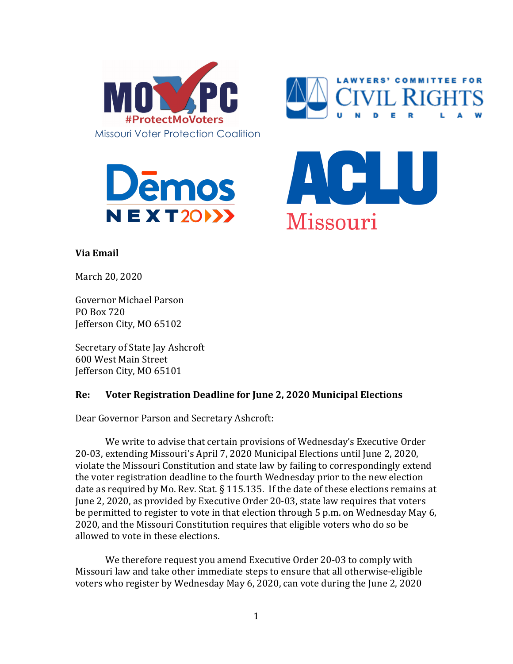







## **Via Email**

March 20, 2020

Governor Michael Parson PO Box 720 Iefferson City, MO 65102

Secretary of State Jay Ashcroft 600 West Main Street Jefferson City, MO 65101

## **Re:** Voter Registration Deadline for June 2, 2020 Municipal Elections

Dear Governor Parson and Secretary Ashcroft:

We write to advise that certain provisions of Wednesday's Executive Order 20-03, extending Missouri's April 7, 2020 Municipal Elections until June 2, 2020, violate the Missouri Constitution and state law by failing to correspondingly extend the voter registration deadline to the fourth Wednesday prior to the new election date as required by Mo. Rev. Stat.  $\S$  115.135. If the date of these elections remains at June 2, 2020, as provided by Executive Order 20-03, state law requires that voters be permitted to register to vote in that election through 5 p.m. on Wednesday May 6, 2020, and the Missouri Constitution requires that eligible voters who do so be allowed to vote in these elections.

We therefore request you amend Executive Order 20-03 to comply with Missouri law and take other immediate steps to ensure that all otherwise-eligible voters who register by Wednesday May 6, 2020, can vote during the June 2, 2020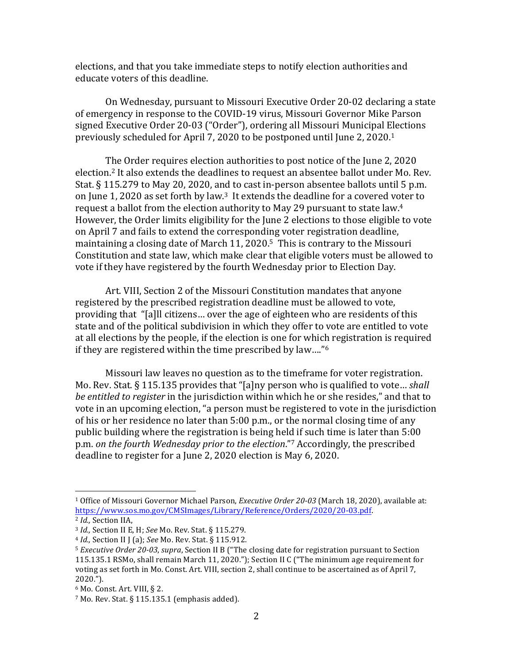elections, and that you take immediate steps to notify election authorities and educate voters of this deadline.

On Wednesday, pursuant to Missouri Executive Order 20-02 declaring a state of emergency in response to the COVID-19 virus, Missouri Governor Mike Parson signed Executive Order 20-03 ("Order"), ordering all Missouri Municipal Elections previously scheduled for April 7, 2020 to be postponed until June 2, 2020.<sup>1</sup>

The Order requires election authorities to post notice of the June 2, 2020 election.<sup>2</sup> It also extends the deadlines to request an absentee ballot under Mo. Rev. Stat. § 115.279 to May 20, 2020, and to cast in-person absentee ballots until 5 p.m. on June 1, 2020 as set forth by law.<sup>3</sup> It extends the deadline for a covered voter to request a ballot from the election authority to May 29 pursuant to state law.<sup>4</sup> However, the Order limits eligibility for the June 2 elections to those eligible to vote on April 7 and fails to extend the corresponding voter registration deadline. maintaining a closing date of March 11, 2020.<sup>5</sup> This is contrary to the Missouri Constitution and state law, which make clear that eligible voters must be allowed to vote if they have registered by the fourth Wednesday prior to Election Day.

Art. VIII, Section 2 of the Missouri Constitution mandates that anyone registered by the prescribed registration deadline must be allowed to vote, providing that "[a]ll citizens... over the age of eighteen who are residents of this state and of the political subdivision in which they offer to vote are entitled to vote at all elections by the people, if the election is one for which registration is required if they are registered within the time prescribed by law...."<sup>6</sup>

Missouri law leaves no question as to the timeframe for voter registration. Mo. Rev. Stat. § 115.135 provides that "[a]ny person who is qualified to vote... *shall be entitled to register* in the jurisdiction within which he or she resides," and that to vote in an upcoming election, "a person must be registered to vote in the jurisdiction of his or her residence no later than  $5:00$  p.m., or the normal closing time of any public building where the registration is being held if such time is later than 5:00 p.m. *on the fourth Wednesday prior to the election*."<sup>7</sup> Accordingly, the prescribed deadline to register for a June 2, 2020 election is May  $6$ , 2020.

 

<sup>&</sup>lt;sup>1</sup> Office of Missouri Governor Michael Parson, *Executive Order* 20-03 (March 18, 2020), available at: https://www.sos.mo.gov/CMSImages/Library/Reference/Orders/2020/20-03.pdf.

<sup>&</sup>lt;sup>2</sup> *Id.*, Section IIA,

<sup>&</sup>lt;sup>3</sup> *Id.*, Section II E, H; See Mo. Rev. Stat. § 115.279.

<sup>4</sup> *Id.*, Section II J (a); *See* Mo. Rev. Stat. § 115.912.

<sup>&</sup>lt;sup>5</sup> *Executive Order 20-03*, *supra*, Section II B ("The closing date for registration pursuant to Section 115.135.1 RSMo, shall remain March 11, 2020."); Section II C ("The minimum age requirement for voting as set forth in Mo. Const. Art. VIII, section 2, shall continue to be ascertained as of April 7, 2020.").

 $6$  Mo. Const. Art. VIII, § 2.

 $7$  Mo. Rev. Stat. § 115.135.1 (emphasis added).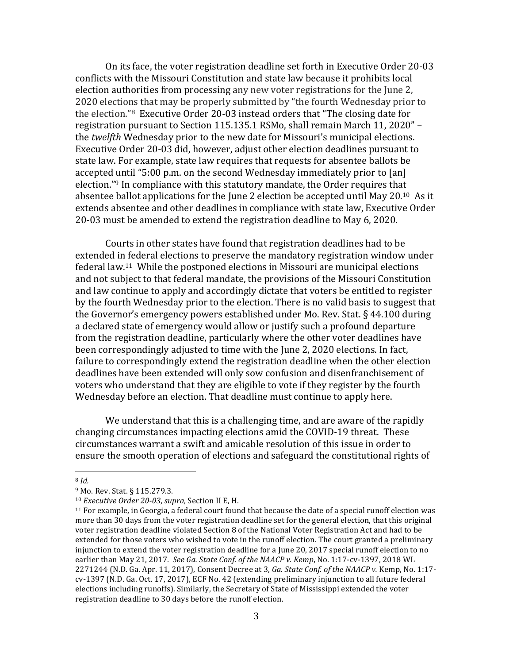On its face, the voter registration deadline set forth in Executive Order 20-03 conflicts with the Missouri Constitution and state law because it prohibits local election authorities from processing any new voter registrations for the June 2. 2020 elections that may be properly submitted by "the fourth Wednesday prior to the election."<sup>8</sup> Executive Order 20-03 instead orders that "The closing date for registration pursuant to Section 115.135.1 RSMo, shall remain March 11, 2020" – the *twelfth* Wednesday prior to the new date for Missouri's municipal elections. Executive Order 20-03 did, however, adjust other election deadlines pursuant to state law. For example, state law requires that requests for absentee ballots be accepted until "5:00 p.m. on the second Wednesday immediately prior to  $\lceil$ an] election."<sup>9</sup> In compliance with this statutory mandate, the Order requires that absentee ballot applications for the June 2 election be accepted until May  $20^{10}$  As it extends absentee and other deadlines in compliance with state law, Executive Order 20-03 must be amended to extend the registration deadline to May 6, 2020.

Courts in other states have found that registration deadlines had to be extended in federal elections to preserve the mandatory registration window under federal law.<sup>11</sup> While the postponed elections in Missouri are municipal elections and not subject to that federal mandate, the provisions of the Missouri Constitution and law continue to apply and accordingly dictate that voters be entitled to register by the fourth Wednesday prior to the election. There is no valid basis to suggest that the Governor's emergency powers established under Mo. Rev. Stat.  $\S$  44.100 during a declared state of emergency would allow or justify such a profound departure from the registration deadline, particularly where the other voter deadlines have been correspondingly adjusted to time with the June 2, 2020 elections. In fact, failure to correspondingly extend the registration deadline when the other election deadlines have been extended will only sow confusion and disenfranchisement of voters who understand that they are eligible to vote if they register by the fourth Wednesday before an election. That deadline must continue to apply here.

We understand that this is a challenging time, and are aware of the rapidly changing circumstances impacting elections amid the COVID-19 threat. These circumstances warrant a swift and amicable resolution of this issue in order to ensure the smooth operation of elections and safeguard the constitutional rights of

 

<sup>8</sup> *Id.*

<sup>&</sup>lt;sup>9</sup> Mo. Rev. Stat. § 115.279.3.

<sup>10</sup> *Executive Order 20-03*, *supra*, Section II E, H.

 $11$  For example, in Georgia, a federal court found that because the date of a special runoff election was more than 30 days from the voter registration deadline set for the general election, that this original voter registration deadline violated Section 8 of the National Voter Registration Act and had to be extended for those voters who wished to vote in the runoff election. The court granted a preliminary injunction to extend the voter registration deadline for a June 20, 2017 special runoff election to no earlier than May 21, 2017. See Ga. State Conf. of the NAACP v. Kemp, No. 1:17-cv-1397, 2018 WL 2271244 (N.D. Ga. Apr. 11, 2017), Consent Decree at 3, Ga. *State Conf. of the NAACP v.* Kemp, No. 1:17cv-1397 (N.D. Ga. Oct. 17, 2017), ECF No. 42 (extending preliminary injunction to all future federal elections including runoffs). Similarly, the Secretary of State of Mississippi extended the voter registration deadline to 30 days before the runoff election.